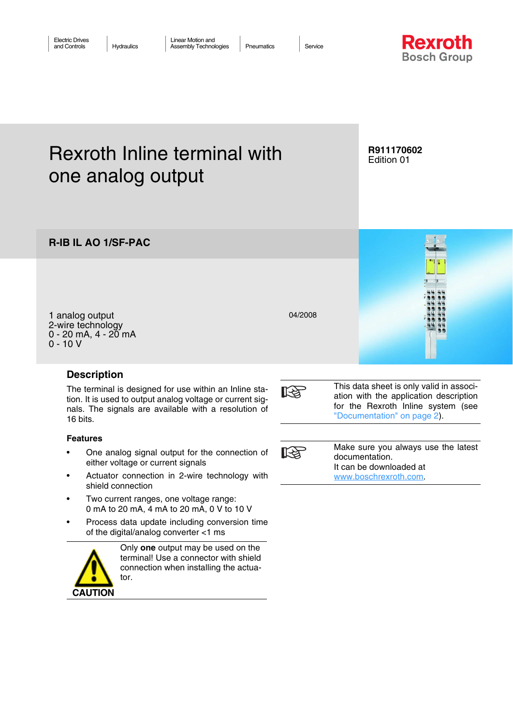**Rexroth Bosch Group** 

# Rexroth Inline terminal with one analog output

### **R911170602** Edition 01

1 analog output 2-wire technology  $0 - 20$  mA,  $4 - 20$  mA

**R-IB IL AO 1/SF-PAC**

0 - 10 V

# **Description**

The terminal is designed for use within an Inline station. It is used to output analog voltage or current signals. The signals are available with a resolution of 16 bits.

### **Features**

- One analog signal output for the connection of either voltage or current signals
- Actuator connection in 2-wire technology with shield connection
- Two current ranges, one voltage range: 0 mA to 20 mA, 4 mA to 20 mA, 0 V to 10 V
- Process data update including conversion time of the digital/analog converter <1 ms



Only **one** output may be used on the terminal! Use a connector with shield connection when installing the actuator.



04/2008



This data sheet is only valid in association with the application description for the Rexroth Inline system (see ["Documentation" on page 2](#page-1-0)).

 $\mathbb{R}$ 

Make sure you always use the latest documentation. It can be downloaded at [www.boschrexroth.com.](http://www.boschrexroth.com)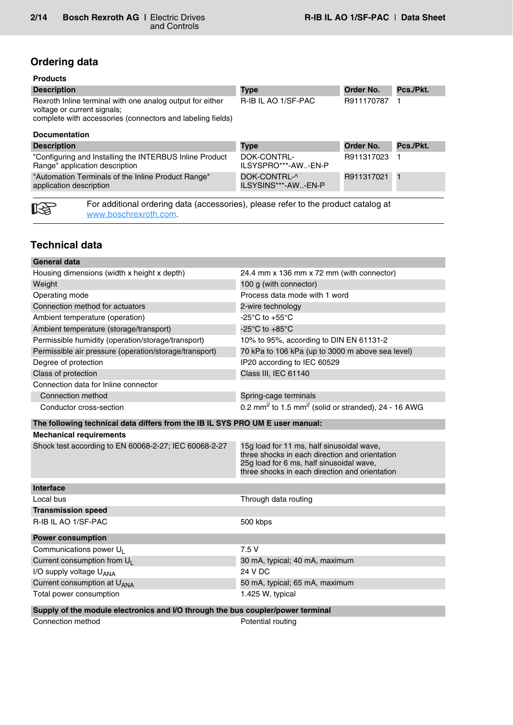# **Ordering data**

| <b>Description</b>                                                                                                                                     | <b>Type</b>         | Order No.  | Pcs./Pkt. |
|--------------------------------------------------------------------------------------------------------------------------------------------------------|---------------------|------------|-----------|
| Rexroth Inline terminal with one analog output for either<br>voltage or current signals;<br>complete with accessories (connectors and labeling fields) | R-IB IL AO 1/SF-PAC | R911170787 |           |
| <b>Documentation</b>                                                                                                                                   |                     |            |           |

<span id="page-1-0"></span>

| <b>Description</b>                                                                         | <b>Type</b>                         | Order No.  | Pcs./Pkt. |  |  |  |  |  |  |  |  |
|--------------------------------------------------------------------------------------------|-------------------------------------|------------|-----------|--|--|--|--|--|--|--|--|
| "Configuring and Installing the INTERBUS Inline Product<br>Range" application description  | DOK-CONTRL-<br>ILSYSPRO***-AW-EN-P  | R911317023 |           |  |  |  |  |  |  |  |  |
| "Automation Terminals of the Inline Product Range"<br>application description              | DOK-CONTRL-^<br>ILSYSINS***-AW-EN-P | R911317021 |           |  |  |  |  |  |  |  |  |
| For additional ordering data (accessories), please refer to the product catalog at<br>n se |                                     |            |           |  |  |  |  |  |  |  |  |

[www.boschrexroth.com.](http://www.boschrexroth.com)

# **Technical data**

陉

### **General data** Housing dimensions (width x height x depth) 24.4 mm x 136 mm x 72 mm (with connector) Weight **100 g** (with connector) Operating mode Process data mode with 1 word Connection method for actuators 2-wire technology Ambient temperature (operation)  $-25^{\circ}$ C to +55°C Ambient temperature (storage/transport) -25°C to +85°C Permissible humidity (operation/storage/transport) 10% to 95%, according to DIN EN 61131-2 Permissible air pressure (operation/storage/transport) 70 kPa to 106 kPa (up to 3000 m above sea level) Degree of protection **IP20** according to IEC 60529 Class of protection Class III, IEC 61140 Connection data for Inline connector Connection method Spring-cage terminals Conductor cross-section  $0.2 \text{ mm}^2$  to  $1.5 \text{ mm}^2$  (solid or stranded), 24 - 16 AWG **The following technical data differs from the IB IL SYS PRO UM E user manual: Mechanical requirements** Shock test according to EN 60068-2-27; IEC 60068-2-27 15g load for 11 ms, half sinusoidal wave, three shocks in each direction and orientation 25g load for 6 ms, half sinusoidal wave, three shocks in each direction and orientation **Interface** Local bus **Through data routing Transmission speed** R-IB IL AO 1/SF-PAC 500 kbps **Power consumption** Communications power  $U_1$  7.5 V Current consumption from  $U_1$  30 mA, typical; 40 mA, maximum  $I/O$  supply voltage  $U_{ANA}$ <br>Current consumption at  $U_{ANA}$  24 V DC 50 mA, typical; 65 mA, maximum Total power consumption 1.425 W, typical

### **Supply of the module electronics and I/O through the bus coupler/power terminal**

Connection method **Potential routing**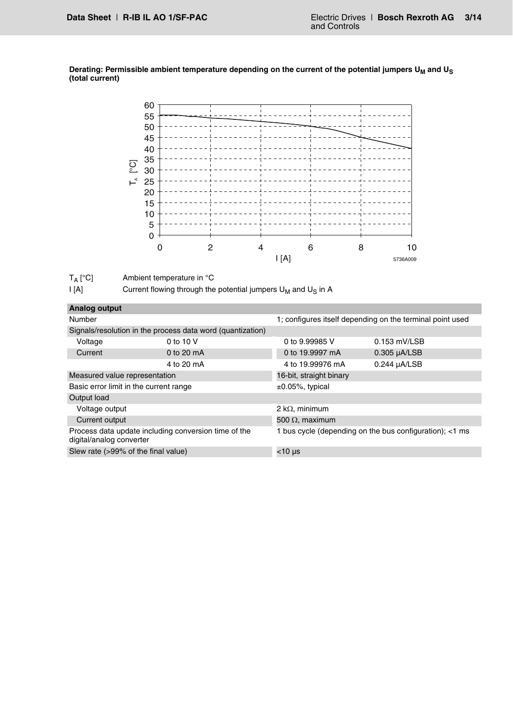<span id="page-2-0"></span>Derating: Permissible ambient temperature depending on the current of the potential jumpers U<sub>M</sub> and U<sub>S</sub> **(total current)**

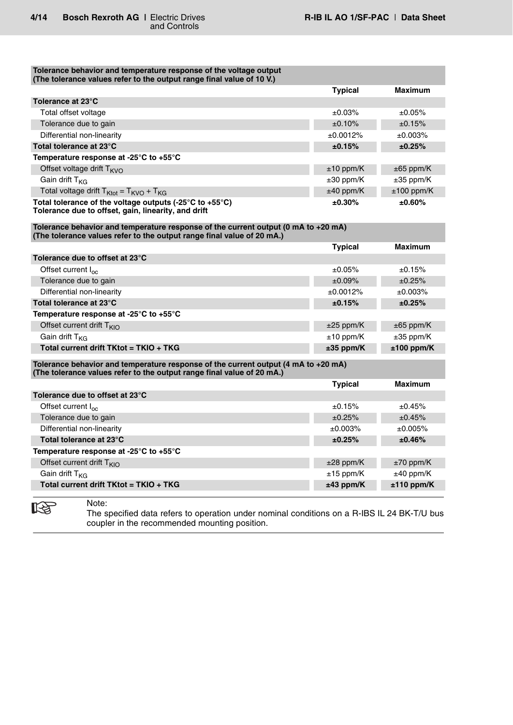| Tolerance behavior and temperature response of the voltage output<br>(The tolerance values refer to the output range final value of 10 V.)                     |                |                |
|----------------------------------------------------------------------------------------------------------------------------------------------------------------|----------------|----------------|
|                                                                                                                                                                | <b>Typical</b> | <b>Maximum</b> |
| Tolerance at 23°C                                                                                                                                              |                |                |
| Total offset voltage                                                                                                                                           | ±0.03%         | ±0.05%         |
| Tolerance due to gain                                                                                                                                          | ±0.10%         | ±0.15%         |
| Differential non-linearity                                                                                                                                     | ±0.0012%       | ±0.003%        |
| Total tolerance at 23°C                                                                                                                                        | ±0.15%         | ±0.25%         |
| Temperature response at -25°C to +55°C                                                                                                                         |                |                |
| Offset voltage drift $T_{KVO}$                                                                                                                                 | $±10$ ppm/K    | $\pm 65$ ppm/K |
| Gain drift T <sub>KG</sub>                                                                                                                                     | $\pm 30$ ppm/K | $\pm 35$ ppm/K |
| Total voltage drift $T_{\text{Ktot}} = T_{\text{KVO}} + T_{\text{KG}}$                                                                                         | $±40$ ppm/K    | $±100$ ppm/K   |
| Total tolerance of the voltage outputs (-25 $\degree$ C to +55 $\degree$ C)<br>Tolerance due to offset, gain, linearity, and drift                             | $±0.30\%$      | ±0.60%         |
| Tolerance behavior and temperature response of the current output (0 mA to $+20$ mA)<br>(The tolerance values refer to the output range final value of 20 mA.) |                |                |
|                                                                                                                                                                | <b>Typical</b> | <b>Maximum</b> |
| Tolerance due to offset at 23°C                                                                                                                                |                |                |
| Offset current I <sub>oc</sub>                                                                                                                                 | ±0.05%         | ±0.15%         |
| Tolerance due to gain                                                                                                                                          | ±0.09%         | ±0.25%         |
| Differential non-linearity                                                                                                                                     | ±0.0012%       | ±0.003%        |

|                                                                                      | <u>i</u> ypical | Maximum        |
|--------------------------------------------------------------------------------------|-----------------|----------------|
| Tolerance due to offset at 23°C                                                      |                 |                |
| Offset current $I_{\alpha c}$                                                        | ±0.05%          | ±0.15%         |
| Tolerance due to gain                                                                | ±0.09%          | ±0.25%         |
| Differential non-linearity                                                           | ±0.0012%        | ±0.003%        |
| Total tolerance at 23°C                                                              | ±0.15%          | ±0.25%         |
| Temperature response at -25 $\degree$ C to +55 $\degree$ C                           |                 |                |
| Offset current drift $T_{\text{KIO}}$                                                | $\pm 25$ ppm/K  | $\pm 65$ ppm/K |
| Gain drift $T_{KG}$                                                                  | $±10$ ppm/K     | $\pm 35$ ppm/K |
| Total current drift TKtot = TKIO + TKG                                               | $±35$ ppm/K     | $±100$ ppm/K   |
| Tolerance behavior and temperature response of the current output (4 mA to $+20$ mA) |                 |                |
| (The tolerance values refer to the output range final value of 20 mA.)               |                 |                |
|                                                                                      | <b>Typical</b>  | <b>Maximum</b> |
| Tolerance due to offset at 23°C                                                      |                 |                |
| Offset current I <sub>oc</sub>                                                       | ±0.15%          | ±0.45%         |
| Tolerance due to gain                                                                | ±0.25%          | ±0.45%         |
| Differential non-linearity                                                           | ±0.003%         | ±0.005%        |
| Total tolerance at 23°C                                                              | ±0.25%          | ±0.46%         |
| Temperature response at -25°C to +55°C                                               |                 |                |
| Offset current drift $T_{KIO}$                                                       | $±28$ ppm/K     | $±70$ ppm/K    |
| Gain drift T <sub>KG</sub>                                                           | $\pm 15$ ppm/K  | $\pm 40$ ppm/K |
| Total current drift TKtot = TKIO + TKG                                               | $±43$ ppm/K     | $±110$ ppm/K   |



Note:

The specified data refers to operation under nominal conditions on a R-IBS IL 24 BK-T/U bus coupler in the recommended mounting position.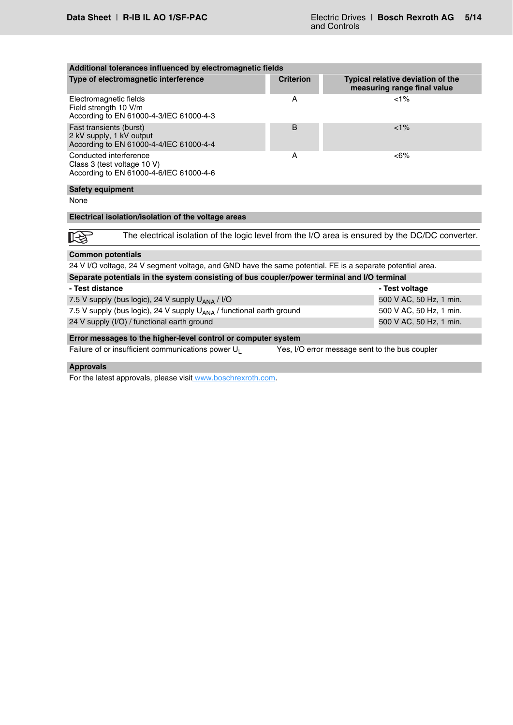| Additional tolerances influenced by electromagnetic fields                                                |                  |                                                                                                  |
|-----------------------------------------------------------------------------------------------------------|------------------|--------------------------------------------------------------------------------------------------|
| Type of electromagnetic interference                                                                      | <b>Criterion</b> | <b>Typical relative deviation of the</b><br>measuring range final value                          |
| Electromagnetic fields<br>Field strength 10 V/m<br>According to EN 61000-4-3/IEC 61000-4-3                | A                | $< 1\%$                                                                                          |
| Fast transients (burst)<br>2 kV supply, 1 kV output<br>According to EN 61000-4-4/IEC 61000-4-4            | B                | $< 1\%$                                                                                          |
| Conducted interference<br>Class 3 (test voltage 10 V)<br>According to EN 61000-4-6/IEC 61000-4-6          | A                | $<6\%$                                                                                           |
| <b>Safety equipment</b>                                                                                   |                  |                                                                                                  |
| None                                                                                                      |                  |                                                                                                  |
| Electrical isolation/isolation of the voltage areas                                                       |                  |                                                                                                  |
|                                                                                                           |                  |                                                                                                  |
|                                                                                                           |                  | The electrical isolation of the logic level from the I/O area is ensured by the DC/DC converter. |
| <b>Common potentials</b>                                                                                  |                  |                                                                                                  |
| 24 V I/O voltage, 24 V segment voltage, and GND have the same potential. FE is a separate potential area. |                  |                                                                                                  |
| Separate potentials in the system consisting of bus coupler/power terminal and I/O terminal               |                  |                                                                                                  |
| - Test distance                                                                                           |                  | - Test voltage                                                                                   |
| 7.5 V supply (bus logic), 24 V supply U <sub>ANA</sub> / I/O                                              |                  | 500 V AC, 50 Hz, 1 min.                                                                          |
| 7.5 V supply (bus logic), 24 V supply U <sub>ANA</sub> / functional earth ground                          |                  | 500 V AC, 50 Hz, 1 min.                                                                          |
| 24 V supply (I/O) / functional earth ground                                                               |                  | 500 V AC, 50 Hz, 1 min.                                                                          |
| Error messages to the higher-level control or computer system                                             |                  |                                                                                                  |
| Failure of or insufficient communications power U <sub>1</sub>                                            |                  | Yes, I/O error message sent to the bus coupler                                                   |
| <b>Approvals</b>                                                                                          |                  |                                                                                                  |

For the latest approvals, please visit [www.boschrexroth.com.](http://www.boschrexroth.com)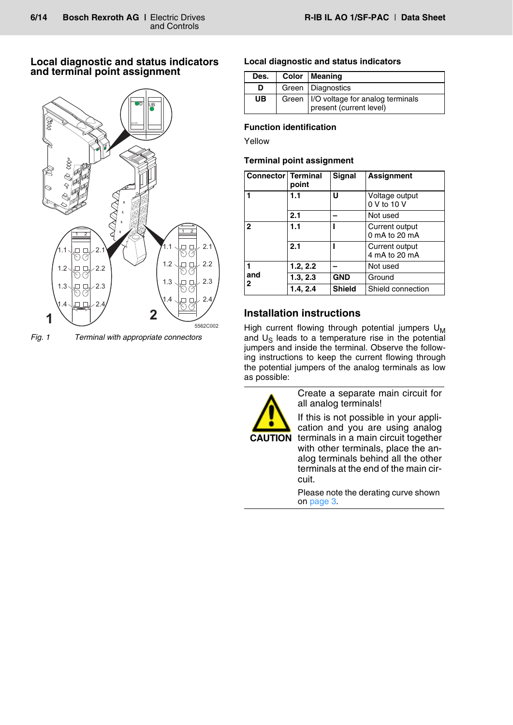# **Local diagnostic and status indicators and terminal point assignment**



*Fig. 1 Terminal with appropriate connectors*

# **Local diagnostic and status indicators**

| Des. | Color   Meaning                                                     |
|------|---------------------------------------------------------------------|
| D    | Green   Diagnostics                                                 |
| UB   | Green   I/O voltage for analog terminals<br>present (current level) |

# **Function identification**

Yellow

# **Terminal point assignment**

| <b>Connector   Terminal</b> | point    | Signal        | <b>Assignment</b>               |
|-----------------------------|----------|---------------|---------------------------------|
|                             | 1.1      | U             | Voltage output<br>0 V to 10 V   |
|                             | 2.1      |               | Not used                        |
| $\mathbf{2}$                | 1.1      |               | Current output<br>0 mA to 20 mA |
|                             | 2.1      |               | Current output<br>4 mA to 20 mA |
| 1                           | 1.2, 2.2 |               | Not used                        |
| and<br>2                    | 1.3, 2.3 | <b>GND</b>    | Ground                          |
|                             | 1.4, 2.4 | <b>Shield</b> | Shield connection               |

# **Installation instructions**

High current flowing through potential jumpers  $U_M$ and  $U_{\varsigma}$  leads to a temperature rise in the potential jumpers and inside the terminal. Observe the following instructions to keep the current flowing through the potential jumpers of the analog terminals as low as possible:



Create a separate main circuit for all analog terminals!

If this is not possible in your application and you are using analog terminals in a main circuit together with other terminals, place the analog terminals behind all the other terminals at the end of the main circuit.

Please note the derating curve shown on [page 3](#page-2-0).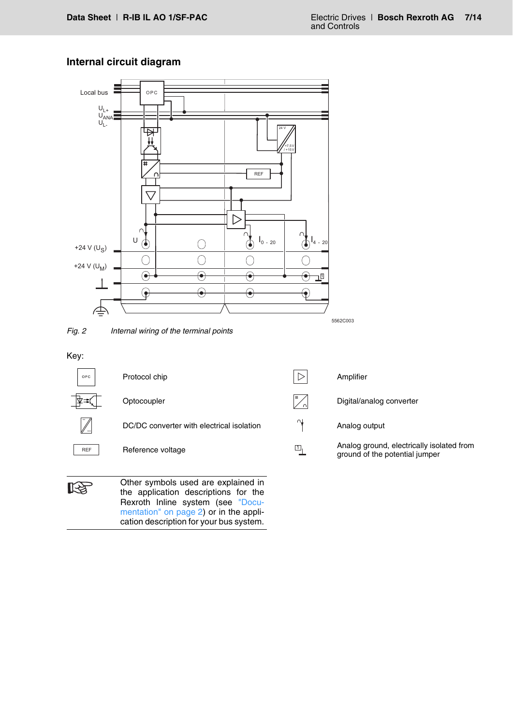# **Internal circuit diagram**

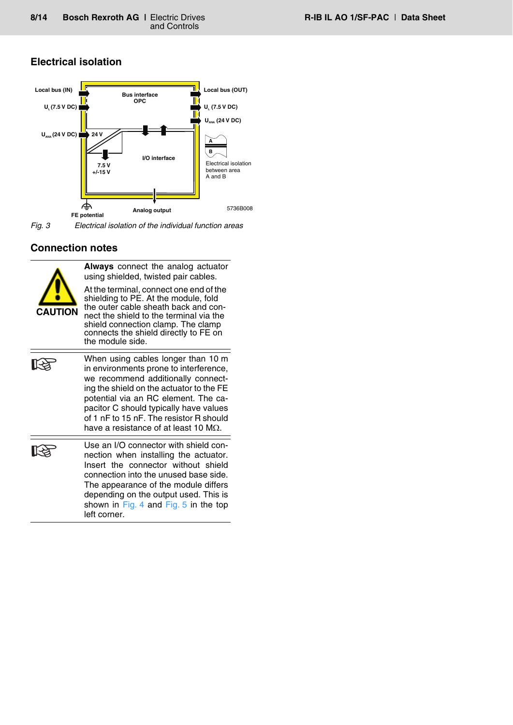# **Electrical isolation**



*Fig. 3 Electrical isolation of the individual function areas*

# **Connection notes**



**Always** connect the analog actuator using shielded, twisted pair cables.

At the terminal, connect one end of the shielding to PE. At the module, fold the outer cable sheath back and connect the shield to the terminal via the shield connection clamp. The clamp connects the shield directly to FE on the module side.





Use an I/O connector with shield connection when installing the actuator. Insert the connector without shield connection into the unused base side. The appearance of the module differs depending on the output used. This is shown in [Fig. 4](#page-8-0) and [Fig. 5](#page-8-1) in the top left corner.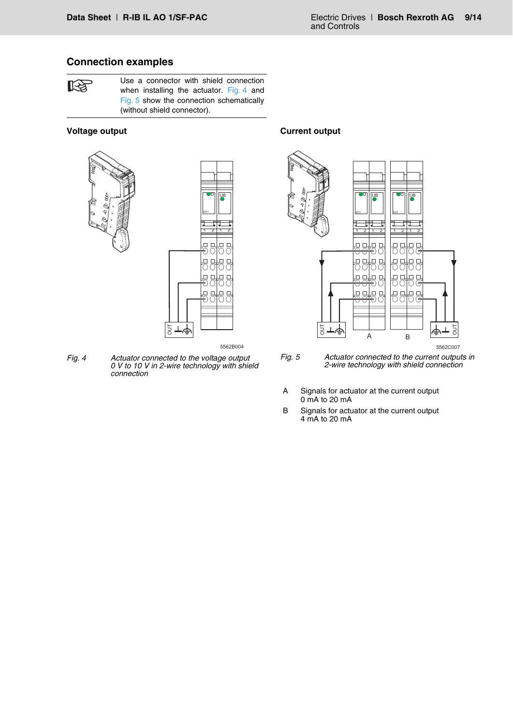### **Connection examples**

陉

Use a connector with shield connection when installing the actuator. [Fig. 4](#page-8-0) and [Fig. 5](#page-8-1) show the connection schematically (without shield connector).

### **Voltage output**





--5562B004

<span id="page-8-0"></span>*Fig. 4 Actuator connected to the voltage output 0 V to 10 V in 2-wire technology with shield connection*

 $\frac{1}{6}$ 

**Current output**



<span id="page-8-1"></span>*Fig. 5 Actuator connected to the current outputs in 2-wire technology with shield connection*

- A Signals for actuator at the current output 0 mA to 20 mA
- B Signals for actuator at the current output 4 mA to 20 mA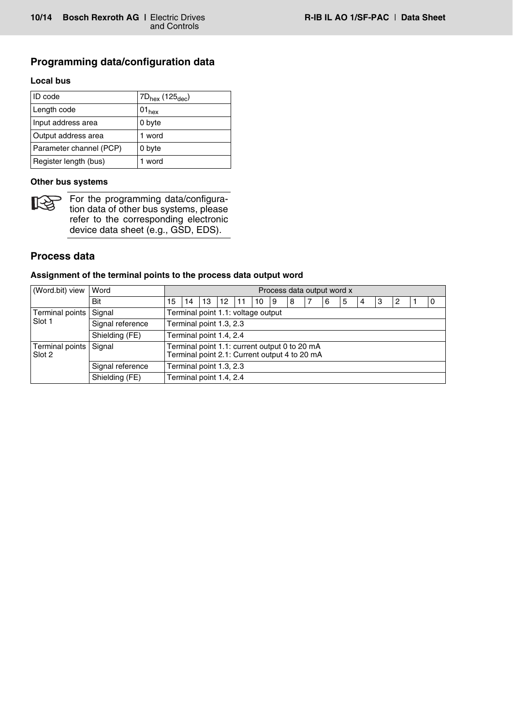### **Programming data/configuration data**

### **Local bus**

| ID code                 | $7D_{hex}$ (125 $_{dec}$ ) |
|-------------------------|----------------------------|
| Length code             | $01_{hex}$                 |
| Input address area      | 0 byte                     |
| Output address area     | 1 word                     |
| Parameter channel (PCP) | 0 byte                     |
| Register length (bus)   | word                       |

### **Other bus systems**



For the programming data/configuration data of other bus systems, please refer to the corresponding electronic device data sheet (e.g., GSD, EDS).

### **Process data**

### **Assignment of the terminal points to the process data output word**

| (Word.bit) view           | Word             | Process data output word x                                                                     |                         |    |    |  |    |    |   |  |   |   |     |    |                |  |   |
|---------------------------|------------------|------------------------------------------------------------------------------------------------|-------------------------|----|----|--|----|----|---|--|---|---|-----|----|----------------|--|---|
|                           | Bit              | 15                                                                                             | 14                      | 13 | 12 |  | 10 | 19 | 8 |  | 6 | 5 | l 4 | -3 | $\overline{2}$ |  | 0 |
| Terminal points           | Signal           | Terminal point 1.1: voltage output                                                             |                         |    |    |  |    |    |   |  |   |   |     |    |                |  |   |
| Slot 1                    | Signal reference |                                                                                                | Terminal point 1.3, 2.3 |    |    |  |    |    |   |  |   |   |     |    |                |  |   |
|                           | Shielding (FE)   |                                                                                                | Terminal point 1.4, 2.4 |    |    |  |    |    |   |  |   |   |     |    |                |  |   |
| Terminal points<br>Slot 2 | Signal           | Terminal point 1.1: current output 0 to 20 mA<br>Terminal point 2.1: Current output 4 to 20 mA |                         |    |    |  |    |    |   |  |   |   |     |    |                |  |   |
|                           | Signal reference |                                                                                                | Terminal point 1.3, 2.3 |    |    |  |    |    |   |  |   |   |     |    |                |  |   |
|                           | Shielding (FE)   | Terminal point 1.4, 2.4                                                                        |                         |    |    |  |    |    |   |  |   |   |     |    |                |  |   |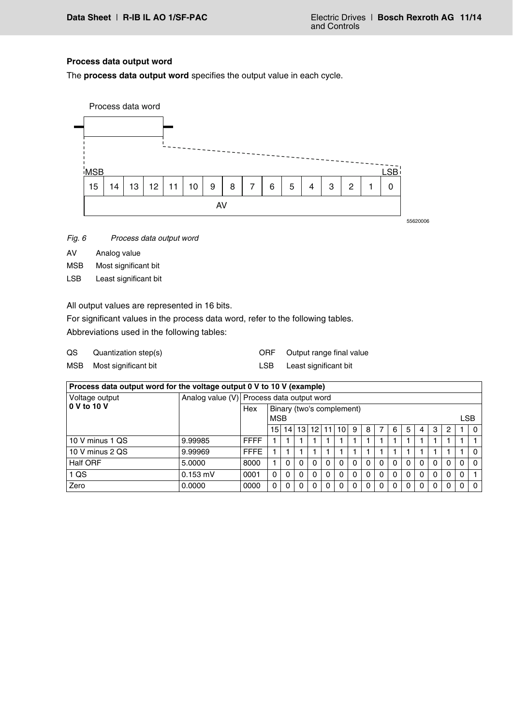### **Process data output word**

The **process data output word** specifies the output value in each cycle.



- *Fig. 6 Process data output word*
- AV Analog value
- MSB Most significant bit
- LSB Least significant bit

All output values are represented in 16 bits.

For significant values in the process data word, refer to the following tables.

Abbreviations used in the following tables:

| QS | Quantization step(s)     | ORF Output range final value |
|----|--------------------------|------------------------------|
|    | MSB Most significant bit | Least significant bit        |

| Process data output word for the voltage output 0 V to 10 V (example) |            |                                           |                           |                 |          |              |    |          |          |          |          |            |   |   |          |   |  |          |  |  |
|-----------------------------------------------------------------------|------------|-------------------------------------------|---------------------------|-----------------|----------|--------------|----|----------|----------|----------|----------|------------|---|---|----------|---|--|----------|--|--|
| Voltage output                                                        |            | Analog value (V) Process data output word |                           |                 |          |              |    |          |          |          |          |            |   |   |          |   |  |          |  |  |
| 0 V to 10 V                                                           |            | Hex                                       | Binary (two's complement) |                 |          |              |    |          |          |          |          |            |   |   |          |   |  |          |  |  |
|                                                                       |            | <b>MSB</b>                                |                           |                 |          |              |    |          |          |          |          | <b>LSB</b> |   |   |          |   |  |          |  |  |
|                                                                       |            |                                           | 15                        | 14 <sup>1</sup> | 13       | 121          | 11 | 10 I     | -9       | 8        |          | 6          | 5 | 4 | 3        | 2 |  | $\Omega$ |  |  |
| 10 V minus 1 QS                                                       | 9.99985    | <b>FFFF</b>                               |                           |                 |          |              |    |          |          |          |          |            |   |   |          |   |  |          |  |  |
| 10 V minus 2 QS                                                       | 9.99969    | <b>FFFE</b>                               |                           |                 |          |              |    |          |          |          |          |            |   |   |          |   |  | $\Omega$ |  |  |
| <b>Half ORF</b>                                                       | 5.0000     | 8000                                      |                           | 0               | $\Omega$ | $\Omega$     | 0  | 0        | $\Omega$ | 0        | $\Omega$ |            |   |   | 0        |   |  | $\Omega$ |  |  |
| 1 QS                                                                  | $0.153$ mV | 0001                                      | $\Omega$                  | $\Omega$        | $\Omega$ | $\Omega$     | 0  | 0        | $\Omega$ | $\Omega$ | 0        |            |   |   | $\Omega$ |   |  |          |  |  |
| Zero                                                                  | 0.0000     | 0000                                      | 0                         | 0               | 0        | $\mathbf{0}$ |    | $\Omega$ |          | 0        |          |            |   |   | 0        |   |  | $\Omega$ |  |  |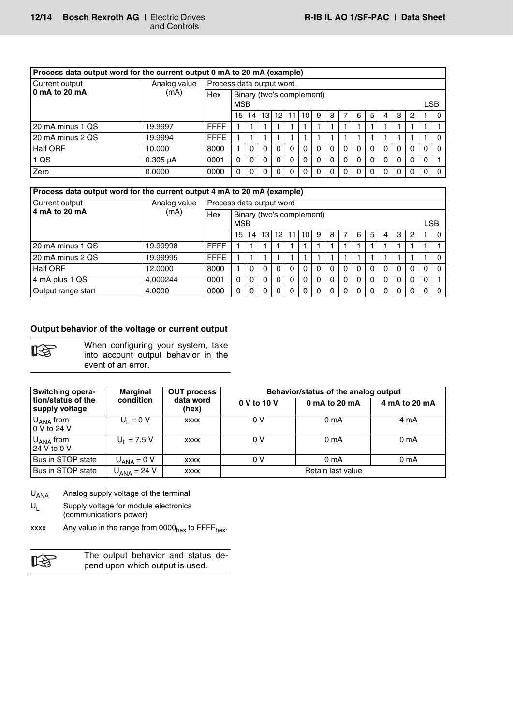| Process data output word for the current output 0 mA to 20 mA (example) |                      |                          |                                                       |          |          |          |              |          |          |          |              |          |          |          |          |          |   |          |
|-------------------------------------------------------------------------|----------------------|--------------------------|-------------------------------------------------------|----------|----------|----------|--------------|----------|----------|----------|--------------|----------|----------|----------|----------|----------|---|----------|
| Current output                                                          | Analog value<br>(mA) | Process data output word |                                                       |          |          |          |              |          |          |          |              |          |          |          |          |          |   |          |
| 0 mA to 20 mA                                                           |                      | Hex                      | Binary (two's complement)<br><b>LSB</b><br><b>MSB</b> |          |          |          |              |          |          |          |              |          |          |          |          |          |   |          |
|                                                                         |                      |                          | 15                                                    | 14       | 13 I     |          | 12 11 10     |          | 9        | 8        | 7            | 6        | -5       |          | 3        | 2        |   | 0        |
| 20 mA minus 1 QS                                                        | 19.9997              | <b>FFFF</b>              |                                                       |          |          |          |              |          |          |          |              |          |          |          |          |          |   |          |
| 20 mA minus 2 QS                                                        | 19.9994              | <b>FFFE</b>              |                                                       |          |          |          |              |          |          |          |              |          |          |          |          |          |   |          |
| <b>Half ORF</b>                                                         | 10.000               | 8000                     |                                                       |          | $\Omega$ | $\Omega$ | 0            |          |          | $\Omega$ | $\Omega$     | 0        |          |          | $\Omega$ | 0        | 0 | $\Omega$ |
| 1 <sub>QS</sub>                                                         | $0.305 \mu A$        | 0001                     | $\Omega$                                              | $\Omega$ | $\Omega$ | $\Omega$ | $\Omega$     | $\Omega$ | $\Omega$ | $\Omega$ | $\Omega$     | $\Omega$ | $\Omega$ | $\Omega$ | $\Omega$ | $\Omega$ | 0 |          |
| Zero                                                                    | 0.0000               | 0000                     | $\Omega$                                              |          | $\Omega$ | $\Omega$ | <sup>0</sup> |          |          | $\Omega$ | <sup>0</sup> | 0        |          |          | $\Omega$ | $\Omega$ | 0 | $\Omega$ |

| Process data output word for the current output 4 mA to 20 mA (example) |                      |                          |                           |                 |          |          |             |          |              |          |                |          |          |          |          |          |            |          |
|-------------------------------------------------------------------------|----------------------|--------------------------|---------------------------|-----------------|----------|----------|-------------|----------|--------------|----------|----------------|----------|----------|----------|----------|----------|------------|----------|
| Current output                                                          | Analog value<br>(mA) | Process data output word |                           |                 |          |          |             |          |              |          |                |          |          |          |          |          |            |          |
| 4 mA to 20 mA                                                           |                      | Hex                      | Binary (two's complement) |                 |          |          |             |          |              |          |                |          |          |          |          |          |            |          |
|                                                                         |                      |                          | <b>MSB</b>                |                 |          |          |             |          |              |          |                |          |          |          |          |          | <b>LSB</b> |          |
|                                                                         |                      |                          | 15                        | 14 <sub>1</sub> |          |          | 13 12 11 10 |          | 9            | 8        | $\overline{7}$ | 6        | 5        | 4        | 3        | 2        |            | $\Omega$ |
| 20 mA minus 1 QS                                                        | 19.99998             | <b>FFFF</b>              |                           |                 |          |          |             |          |              |          |                |          |          |          |          |          |            |          |
| 20 mA minus 2 QS                                                        | 19.99995             | <b>FFFE</b>              |                           |                 |          |          |             |          |              |          |                |          |          |          |          |          |            |          |
| Half ORF                                                                | 12.0000              | 8000                     |                           |                 | $\Omega$ | $\Omega$ | $\Omega$    | $\Omega$ |              | $\Omega$ | $\Omega$       | $\Omega$ |          |          | 0        | $\Omega$ | 0          | $\Omega$ |
| 4 mA plus 1 QS                                                          | 4.000244             | 0001                     | $\Omega$                  | $\Omega$        | $\Omega$ | $\Omega$ | $\Omega$    | $\Omega$ | $\Omega$     | $\Omega$ | $\Omega$       | $\Omega$ | $\Omega$ | $\Omega$ | $\Omega$ | $\Omega$ | $\Omega$   |          |
| Output range start                                                      | 4.0000               | 0000                     | $\Omega$                  | 0               | $\Omega$ | $\Omega$ | 0           |          | <sup>n</sup> | $\Omega$ | $\Omega$       | $\Omega$ | $\Omega$ | $\Omega$ | $\Omega$ | $\Omega$ | 0          | $\Omega$ |

#### **Output behavior of the voltage or current output**

咚

When configuring your system, take into account output behavior in the event of an error.

| Switching opera-                       | <b>Marginal</b>        | <b>OUT process</b> | Behavior/status of the analog output |                   |                  |  |  |  |  |  |
|----------------------------------------|------------------------|--------------------|--------------------------------------|-------------------|------------------|--|--|--|--|--|
| tion/status of the<br>supply voltage   | condition              | data word<br>(hex) | 0 V to 10 V                          | 0 mA to 20 mA     | 4 mA to 20 mA    |  |  |  |  |  |
| $U_{\text{ANA}}$ from<br>0 V to 24 V   | $U_1 = 0 V$            | <b>XXXX</b>        | 0 V                                  | 0 <sub>m</sub> A  | 4 mA             |  |  |  |  |  |
| $U_{\mathsf{ANA}}$ from<br>24 V to 0 V | $U_1 = 7.5 V$          | <b>XXXX</b>        | 0 V                                  | 0 <sub>m</sub> A  | 0 <sub>m</sub> A |  |  |  |  |  |
| Bus in STOP state                      | $U_{\text{ANA}} = 0$ V | <b>XXXX</b>        | 0 V                                  | 0 <sub>m</sub> A  | 0 mA             |  |  |  |  |  |
| Bus in STOP state                      | $UANA = 24 V$          | <b>XXXX</b>        |                                      | Retain last value |                  |  |  |  |  |  |

U<sub>ANA</sub> Analog supply voltage of the terminal

 $U_1$  Supply voltage for module electronics (communications power)

xxxx Any value in the range from  $0000_{hex}$  to FFFF $_{hex}$ .

|   |  | The output behavior and status de- |  |  |
|---|--|------------------------------------|--|--|
| 咚 |  | pend upon which output is used.    |  |  |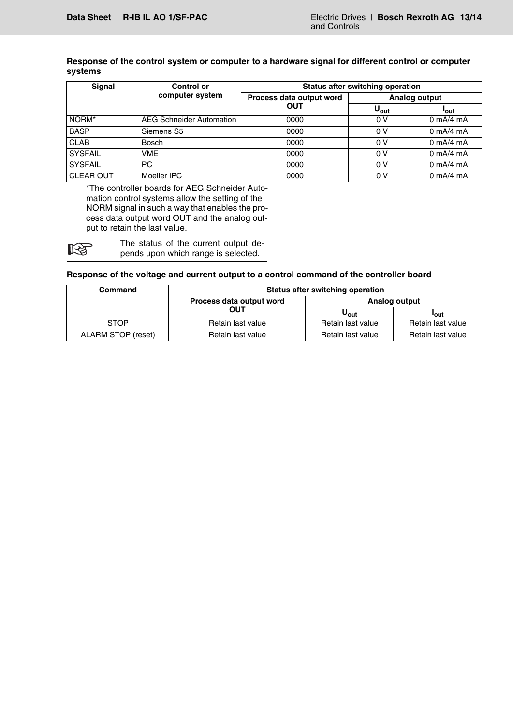#### **Response of the control system or computer to a hardware signal for different control or computer systems**

| Signal           | <b>Control or</b>               | <b>Status after switching operation</b> |                      |                             |  |  |  |  |  |
|------------------|---------------------------------|-----------------------------------------|----------------------|-----------------------------|--|--|--|--|--|
|                  | computer system                 | Process data output word                | <b>Analog output</b> |                             |  |  |  |  |  |
|                  |                                 | <b>OUT</b>                              | $U_{\text{out}}$     | <b>l</b> out                |  |  |  |  |  |
| NORM*            | <b>AEG Schneider Automation</b> | 0000                                    | 0 V                  | $0 \text{ mA}/4 \text{ mA}$ |  |  |  |  |  |
| <b>BASP</b>      | Siemens S5                      | 0000                                    | 0V                   | $0 \text{ mA}/4 \text{ mA}$ |  |  |  |  |  |
| <b>CLAB</b>      | Bosch                           | 0000                                    | 0V                   | $0 \text{ mA}/4 \text{ mA}$ |  |  |  |  |  |
| <b>SYSFAIL</b>   | <b>VME</b>                      | 0000                                    | 0 V                  | $0 \text{ mA}/4 \text{ mA}$ |  |  |  |  |  |
| <b>SYSFAIL</b>   | PC                              | 0000                                    | 0V                   | $0 \text{ mA}/4 \text{ mA}$ |  |  |  |  |  |
| <b>CLEAR OUT</b> | Moeller IPC                     | 0000                                    | 0 V                  | $0 \text{ mA}/4 \text{ mA}$ |  |  |  |  |  |

\*The controller boards for AEG Schneider Automation control systems allow the setting of the NORM signal in such a way that enables the process data output word OUT and the analog output to retain the last value.

**LAS** 

The status of the current output depends upon which range is selected.

#### **Response of the voltage and current output to a control command of the controller board**

| Command            | <b>Status after switching operation</b> |                   |                   |  |  |  |  |
|--------------------|-----------------------------------------|-------------------|-------------------|--|--|--|--|
|                    | Process data output word                | Analog output     |                   |  |  |  |  |
|                    | <b>OUT</b>                              | $U_{\rm out}$     | 'out              |  |  |  |  |
| <b>STOP</b>        | Retain last value                       | Retain last value | Retain last value |  |  |  |  |
| ALARM STOP (reset) | Retain last value                       | Retain last value | Retain last value |  |  |  |  |